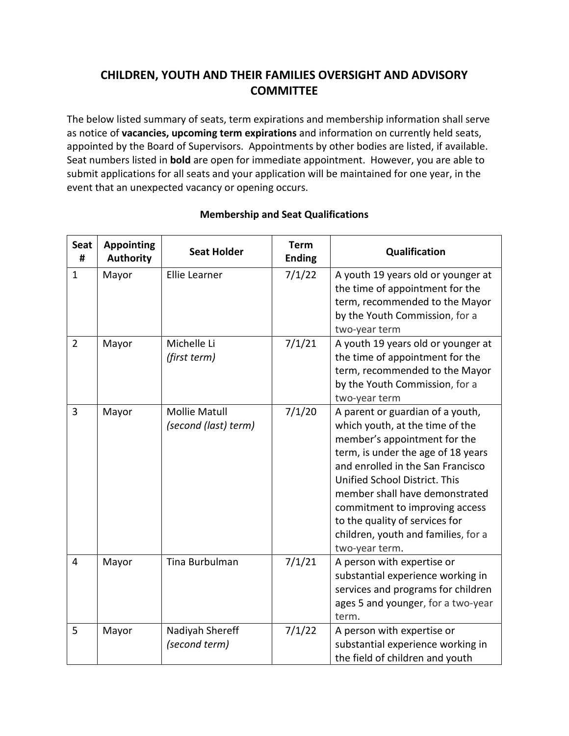## **CHILDREN, YOUTH AND THEIR FAMILIES OVERSIGHT AND ADVISORY COMMITTEE**

The below listed summary of seats, term expirations and membership information shall serve as notice of **vacancies, upcoming term expirations** and information on currently held seats, appointed by the Board of Supervisors. Appointments by other bodies are listed, if available. Seat numbers listed in **bold** are open for immediate appointment. However, you are able to submit applications for all seats and your application will be maintained for one year, in the event that an unexpected vacancy or opening occurs.

| <b>Seat</b><br># | <b>Appointing</b><br><b>Authority</b> | <b>Seat Holder</b>                           | <b>Term</b><br><b>Ending</b> | Qualification                                                                                                                                                                                                                                                                                                                                                                  |
|------------------|---------------------------------------|----------------------------------------------|------------------------------|--------------------------------------------------------------------------------------------------------------------------------------------------------------------------------------------------------------------------------------------------------------------------------------------------------------------------------------------------------------------------------|
| $\mathbf{1}$     | Mayor                                 | <b>Ellie Learner</b>                         | 7/1/22                       | A youth 19 years old or younger at<br>the time of appointment for the<br>term, recommended to the Mayor<br>by the Youth Commission, for a<br>two-year term                                                                                                                                                                                                                     |
| $\overline{2}$   | Mayor                                 | Michelle Li<br>(first term)                  | 7/1/21                       | A youth 19 years old or younger at<br>the time of appointment for the<br>term, recommended to the Mayor<br>by the Youth Commission, for a<br>two-year term                                                                                                                                                                                                                     |
| 3                | Mayor                                 | <b>Mollie Matull</b><br>(second (last) term) | 7/1/20                       | A parent or guardian of a youth,<br>which youth, at the time of the<br>member's appointment for the<br>term, is under the age of 18 years<br>and enrolled in the San Francisco<br>Unified School District. This<br>member shall have demonstrated<br>commitment to improving access<br>to the quality of services for<br>children, youth and families, for a<br>two-year term. |
| 4                | Mayor                                 | Tina Burbulman                               | 7/1/21                       | A person with expertise or<br>substantial experience working in<br>services and programs for children<br>ages 5 and younger, for a two-year<br>term.                                                                                                                                                                                                                           |
| 5                | Mayor                                 | Nadiyah Shereff<br>(second term)             | 7/1/22                       | A person with expertise or<br>substantial experience working in<br>the field of children and youth                                                                                                                                                                                                                                                                             |

## **Membership and Seat Qualifications**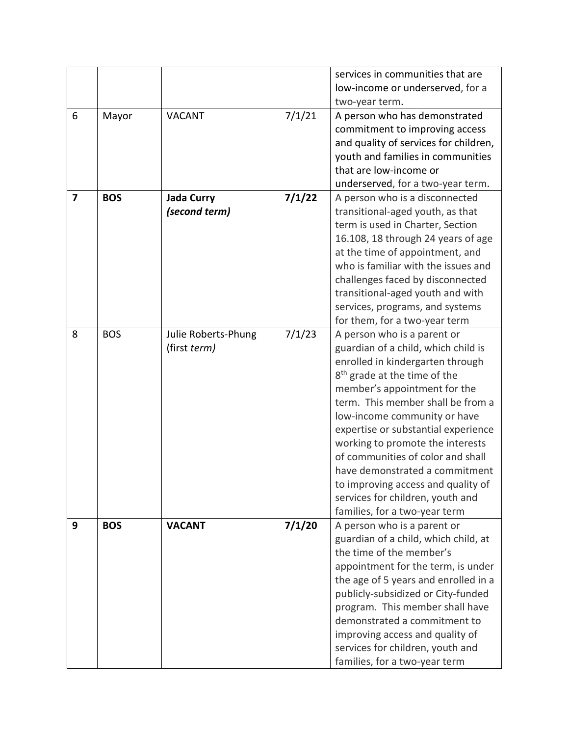|                         |            |                     |        | services in communities that are<br>low-income or underserved, for a    |
|-------------------------|------------|---------------------|--------|-------------------------------------------------------------------------|
|                         |            |                     |        | two-year term.                                                          |
| 6                       | Mayor      | <b>VACANT</b>       | 7/1/21 | A person who has demonstrated                                           |
|                         |            |                     |        | commitment to improving access<br>and quality of services for children, |
|                         |            |                     |        | youth and families in communities                                       |
|                         |            |                     |        | that are low-income or                                                  |
|                         |            |                     |        | underserved, for a two-year term.                                       |
| $\overline{\mathbf{z}}$ | <b>BOS</b> | <b>Jada Curry</b>   | 7/1/22 | A person who is a disconnected                                          |
|                         |            | (second term)       |        | transitional-aged youth, as that                                        |
|                         |            |                     |        | term is used in Charter, Section                                        |
|                         |            |                     |        | 16.108, 18 through 24 years of age                                      |
|                         |            |                     |        | at the time of appointment, and                                         |
|                         |            |                     |        | who is familiar with the issues and                                     |
|                         |            |                     |        | challenges faced by disconnected                                        |
|                         |            |                     |        | transitional-aged youth and with                                        |
|                         |            |                     |        | services, programs, and systems                                         |
|                         |            |                     |        | for them, for a two-year term                                           |
| 8                       | <b>BOS</b> | Julie Roberts-Phung | 7/1/23 | A person who is a parent or                                             |
|                         |            | (first term)        |        | guardian of a child, which child is                                     |
|                         |            |                     |        | enrolled in kindergarten through                                        |
|                         |            |                     |        | 8 <sup>th</sup> grade at the time of the                                |
|                         |            |                     |        | member's appointment for the                                            |
|                         |            |                     |        | term. This member shall be from a                                       |
|                         |            |                     |        | low-income community or have                                            |
|                         |            |                     |        | expertise or substantial experience                                     |
|                         |            |                     |        | working to promote the interests                                        |
|                         |            |                     |        | of communities of color and shall                                       |
|                         |            |                     |        | have demonstrated a commitment                                          |
|                         |            |                     |        | to improving access and quality of                                      |
|                         |            |                     |        | services for children, youth and                                        |
|                         |            |                     |        | families, for a two-year term                                           |
| 9                       | <b>BOS</b> | <b>VACANT</b>       | 7/1/20 | A person who is a parent or                                             |
|                         |            |                     |        | guardian of a child, which child, at                                    |
|                         |            |                     |        | the time of the member's                                                |
|                         |            |                     |        | appointment for the term, is under                                      |
|                         |            |                     |        | the age of 5 years and enrolled in a                                    |
|                         |            |                     |        | publicly-subsidized or City-funded                                      |
|                         |            |                     |        | program. This member shall have                                         |
|                         |            |                     |        | demonstrated a commitment to                                            |
|                         |            |                     |        | improving access and quality of                                         |
|                         |            |                     |        | services for children, youth and                                        |
|                         |            |                     |        | families, for a two-year term                                           |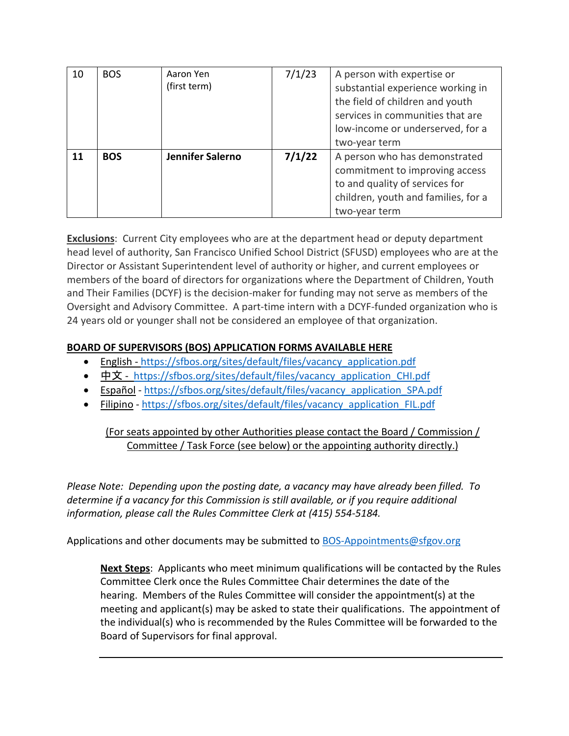| 10 | <b>BOS</b> | Aaron Yen<br>(first term) | 7/1/23 | A person with expertise or<br>substantial experience working in<br>the field of children and youth<br>services in communities that are<br>low-income or underserved, for a<br>two-year term |
|----|------------|---------------------------|--------|---------------------------------------------------------------------------------------------------------------------------------------------------------------------------------------------|
| 11 | <b>BOS</b> | Jennifer Salerno          | 7/1/22 | A person who has demonstrated<br>commitment to improving access<br>to and quality of services for<br>children, youth and families, for a<br>two-year term                                   |

**Exclusions**: Current City employees who are at the department head or deputy department head level of authority, San Francisco Unified School District (SFUSD) employees who are at the Director or Assistant Superintendent level of authority or higher, and current employees or members of the board of directors for organizations where the Department of Children, Youth and Their Families (DCYF) is the decision-maker for funding may not serve as members of the Oversight and Advisory Committee. A part-time intern with a DCYF-funded organization who is 24 years old or younger shall not be considered an employee of that organization.

## **BOARD OF SUPERVISORS (BOS) APPLICATION FORMS AVAILABLE HERE**

- English [https://sfbos.org/sites/default/files/vacancy\\_application.pdf](https://sfbos.org/sites/default/files/vacancy_application.pdf)
- [中文](https://sfbos.org/sites/default/files/vacancy_application_CHI.pdf) https://sfbos.org/sites/default/files/vacancy application CHI.pdf
- [Español](https://sfbos.org/sites/default/files/vacancy_application_SPA.pdf) [https://sfbos.org/sites/default/files/vacancy\\_application\\_SPA.pdf](https://sfbos.org/sites/default/files/vacancy_application_SPA.pdf)
- [Filipino](https://sfbos.org/sites/default/files/vacancy_application_FIL.pdf) [https://sfbos.org/sites/default/files/vacancy\\_application\\_FIL.pdf](https://sfbos.org/sites/default/files/vacancy_application_FIL.pdf)

(For seats appointed by other Authorities please contact the Board / Commission / Committee / Task Force (see below) or the appointing authority directly.)

*Please Note: Depending upon the posting date, a vacancy may have already been filled. To determine if a vacancy for this Commission is still available, or if you require additional information, please call the Rules Committee Clerk at (415) 554-5184.*

Applications and other documents may be submitted to [BOS-Appointments@sfgov.org](mailto:BOS-Appointments@sfgov.org)

**Next Steps**: Applicants who meet minimum qualifications will be contacted by the Rules Committee Clerk once the Rules Committee Chair determines the date of the hearing. Members of the Rules Committee will consider the appointment(s) at the meeting and applicant(s) may be asked to state their qualifications. The appointment of the individual(s) who is recommended by the Rules Committee will be forwarded to the Board of Supervisors for final approval.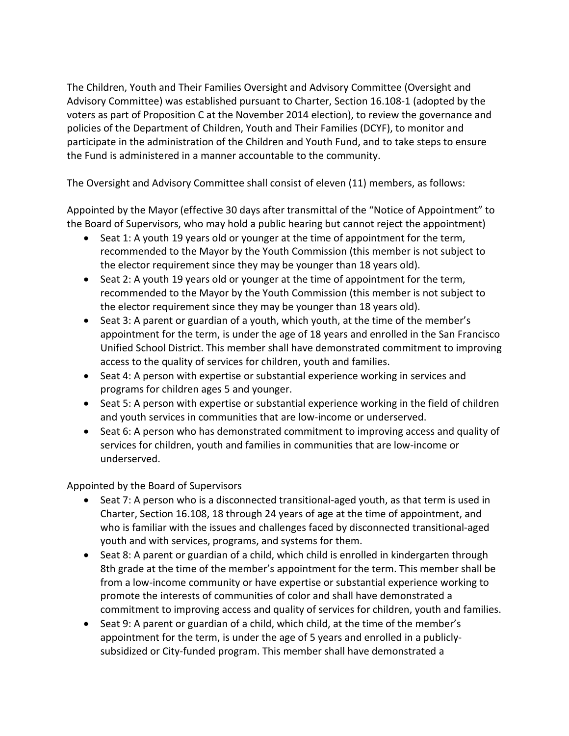The Children, Youth and Their Families Oversight and Advisory Committee (Oversight and Advisory Committee) was established pursuant to Charter, Section 16.108-1 (adopted by the voters as part of Proposition C at the November 2014 election), to review the governance and policies of the Department of Children, Youth and Their Families (DCYF), to monitor and participate in the administration of the Children and Youth Fund, and to take steps to ensure the Fund is administered in a manner accountable to the community.

The Oversight and Advisory Committee shall consist of eleven (11) members, as follows:

Appointed by the Mayor (effective 30 days after transmittal of the "Notice of Appointment" to the Board of Supervisors, who may hold a public hearing but cannot reject the appointment)

- Seat 1: A youth 19 years old or younger at the time of appointment for the term, recommended to the Mayor by the Youth Commission (this member is not subject to the elector requirement since they may be younger than 18 years old).
- Seat 2: A youth 19 years old or younger at the time of appointment for the term, recommended to the Mayor by the Youth Commission (this member is not subject to the elector requirement since they may be younger than 18 years old).
- Seat 3: A parent or guardian of a youth, which youth, at the time of the member's appointment for the term, is under the age of 18 years and enrolled in the San Francisco Unified School District. This member shall have demonstrated commitment to improving access to the quality of services for children, youth and families.
- Seat 4: A person with expertise or substantial experience working in services and programs for children ages 5 and younger.
- Seat 5: A person with expertise or substantial experience working in the field of children and youth services in communities that are low-income or underserved.
- Seat 6: A person who has demonstrated commitment to improving access and quality of services for children, youth and families in communities that are low-income or underserved.

## Appointed by the Board of Supervisors

- Seat 7: A person who is a disconnected transitional-aged youth, as that term is used in Charter, Section 16.108, 18 through 24 years of age at the time of appointment, and who is familiar with the issues and challenges faced by disconnected transitional-aged youth and with services, programs, and systems for them.
- Seat 8: A parent or guardian of a child, which child is enrolled in kindergarten through 8th grade at the time of the member's appointment for the term. This member shall be from a low-income community or have expertise or substantial experience working to promote the interests of communities of color and shall have demonstrated a commitment to improving access and quality of services for children, youth and families.
- Seat 9: A parent or guardian of a child, which child, at the time of the member's appointment for the term, is under the age of 5 years and enrolled in a publiclysubsidized or City-funded program. This member shall have demonstrated a